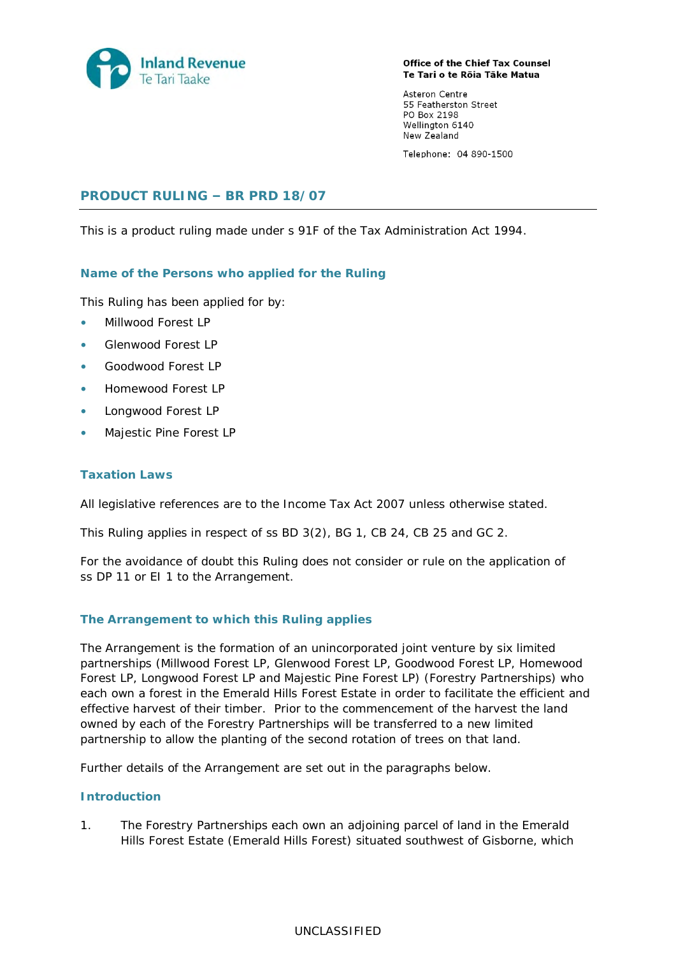

Office of the Chief Tax Counsel Te Tari o te Rōia Tāke Matua

Asteron Centre 55 Featherston Street PO Box 2198 Wellington 6140 New Zealand

Telephone: 04 890-1500

# **PRODUCT RULING – BR PRD 18/07**

This is a product ruling made under s 91F of the Tax Administration Act 1994.

## **Name of the Persons who applied for the Ruling**

This Ruling has been applied for by:

- Millwood Forest LP
- Glenwood Forest LP
- Goodwood Forest LP
- Homewood Forest LP
- Longwood Forest LP
- Majestic Pine Forest LP

## **Taxation Laws**

All legislative references are to the Income Tax Act 2007 unless otherwise stated.

This Ruling applies in respect of ss BD 3(2), BG 1, CB 24, CB 25 and GC 2.

For the avoidance of doubt this Ruling does not consider or rule on the application of ss DP 11 or EI 1 to the Arrangement.

## **The Arrangement to which this Ruling applies**

The Arrangement is the formation of an unincorporated joint venture by six limited partnerships (Millwood Forest LP, Glenwood Forest LP, Goodwood Forest LP, Homewood Forest LP, Longwood Forest LP and Majestic Pine Forest LP) (Forestry Partnerships) who each own a forest in the Emerald Hills Forest Estate in order to facilitate the efficient and effective harvest of their timber. Prior to the commencement of the harvest the land owned by each of the Forestry Partnerships will be transferred to a new limited partnership to allow the planting of the second rotation of trees on that land.

Further details of the Arrangement are set out in the paragraphs below.

### **Introduction**

1. The Forestry Partnerships each own an adjoining parcel of land in the Emerald Hills Forest Estate (Emerald Hills Forest) situated southwest of Gisborne, which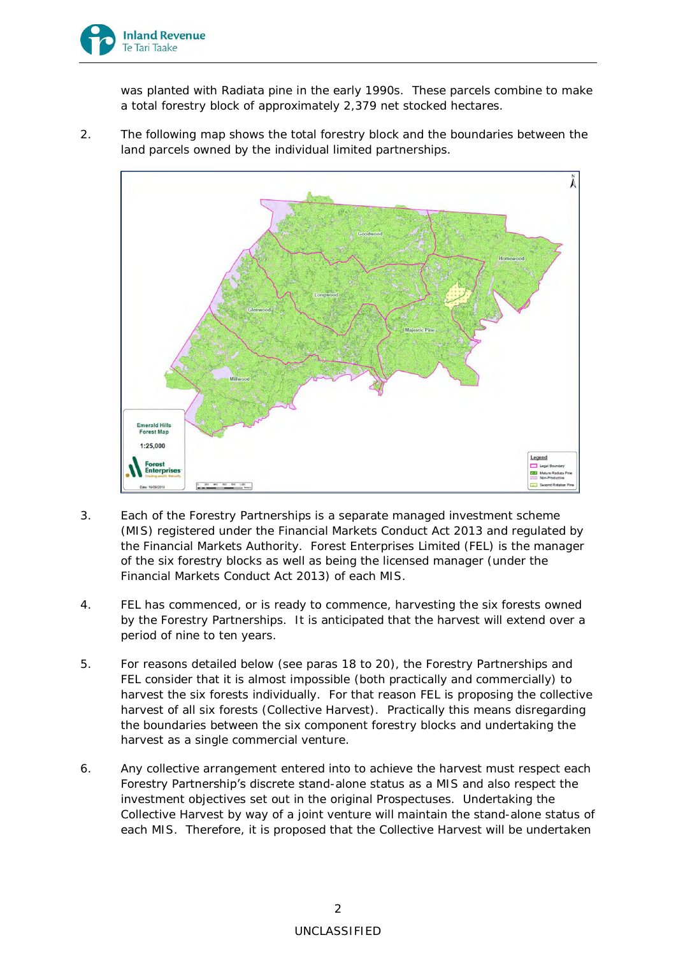

was planted with Radiata pine in the early 1990s. These parcels combine to make a total forestry block of approximately 2,379 net stocked hectares.

2. The following map shows the total forestry block and the boundaries between the land parcels owned by the individual limited partnerships.



- 3. Each of the Forestry Partnerships is a separate managed investment scheme (MIS) registered under the Financial Markets Conduct Act 2013 and regulated by the Financial Markets Authority. Forest Enterprises Limited (FEL) is the manager of the six forestry blocks as well as being the licensed manager (under the Financial Markets Conduct Act 2013) of each MIS.
- 4. FEL has commenced, or is ready to commence, harvesting the six forests owned by the Forestry Partnerships. It is anticipated that the harvest will extend over a period of nine to ten years.
- 5. For reasons detailed below (see paras [18](#page-4-0) to [20\)](#page-4-1), the Forestry Partnerships and FEL consider that it is almost impossible (both practically and commercially) to harvest the six forests individually. For that reason FEL is proposing the collective harvest of all six forests (Collective Harvest). Practically this means disregarding the boundaries between the six component forestry blocks and undertaking the harvest as a single commercial venture.
- 6. Any collective arrangement entered into to achieve the harvest must respect each Forestry Partnership's discrete stand-alone status as a MIS and also respect the investment objectives set out in the original Prospectuses. Undertaking the Collective Harvest by way of a joint venture will maintain the stand-alone status of each MIS. Therefore, it is proposed that the Collective Harvest will be undertaken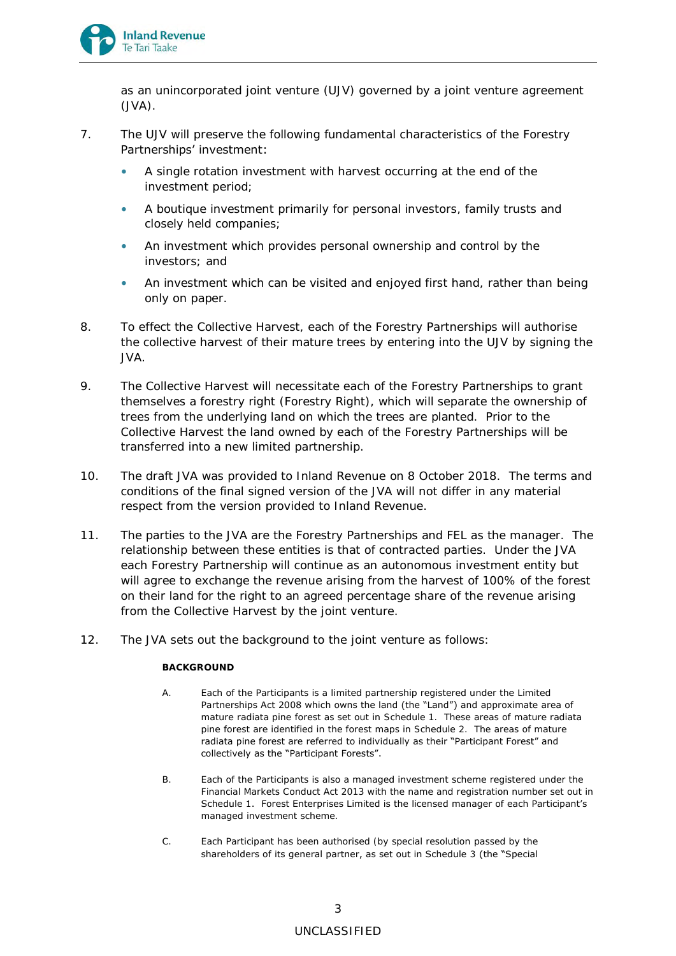

as an unincorporated joint venture (UJV) governed by a joint venture agreement (JVA).

- 7. The UJV will preserve the following fundamental characteristics of the Forestry Partnerships' investment:
	- A single rotation investment with harvest occurring at the end of the investment period;
	- A boutique investment primarily for personal investors, family trusts and closely held companies;
	- An investment which provides personal ownership and control by the investors; and
	- An investment which can be visited and enjoyed first hand, rather than being only on paper.
- 8. To effect the Collective Harvest, each of the Forestry Partnerships will authorise the collective harvest of their mature trees by entering into the UJV by signing the JVA.
- 9. The Collective Harvest will necessitate each of the Forestry Partnerships to grant themselves a forestry right (Forestry Right), which will separate the ownership of trees from the underlying land on which the trees are planted. Prior to the Collective Harvest the land owned by each of the Forestry Partnerships will be transferred into a new limited partnership.
- 10. The draft JVA was provided to Inland Revenue on 8 October 2018. The terms and conditions of the final signed version of the JVA will not differ in any material respect from the version provided to Inland Revenue.
- 11. The parties to the JVA are the Forestry Partnerships and FEL as the manager. The relationship between these entities is that of contracted parties. Under the JVA each Forestry Partnership will continue as an autonomous investment entity but will agree to exchange the revenue arising from the harvest of 100% of the forest on their land for the right to an agreed percentage share of the revenue arising from the Collective Harvest by the joint venture.
- 12. The JVA sets out the background to the joint venture as follows:

## **BACKGROUND**

- A. Each of the Participants is a limited partnership registered under the Limited Partnerships Act 2008 which owns the land (the "Land") and approximate area of mature radiata pine forest as set out in Schedule 1. These areas of mature radiata pine forest are identified in the forest maps in Schedule 2. The areas of mature radiata pine forest are referred to individually as their "Participant Forest" and collectively as the "Participant Forests".
- B. Each of the Participants is also a managed investment scheme registered under the Financial Markets Conduct Act 2013 with the name and registration number set out in Schedule 1. Forest Enterprises Limited is the licensed manager of each Participant's managed investment scheme.
- C. Each Participant has been authorised (by special resolution passed by the shareholders of its general partner, as set out in Schedule 3 (the "Special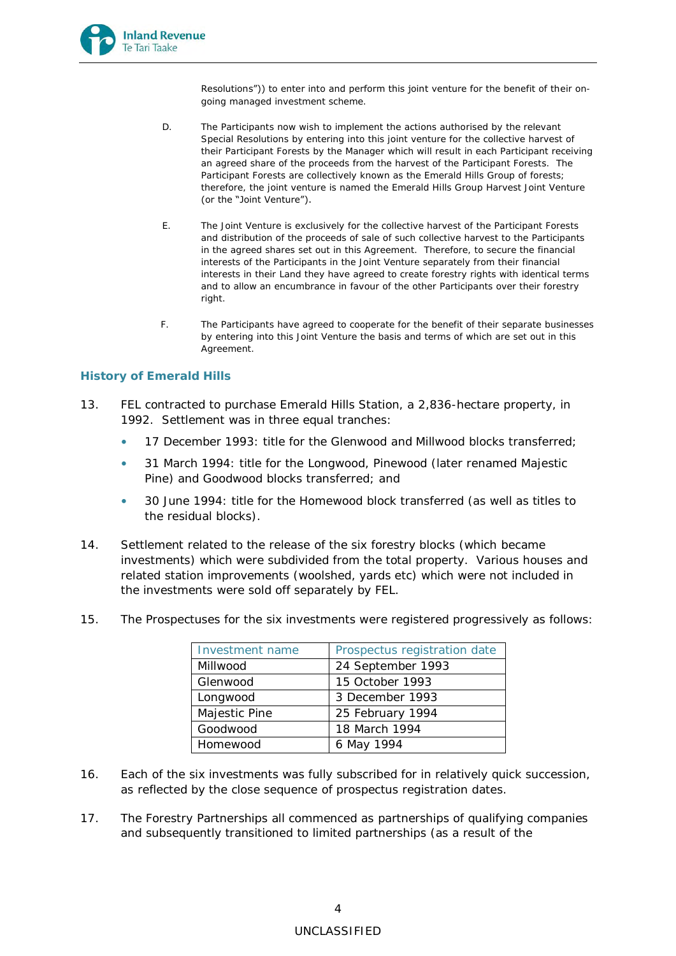

Resolutions")) to enter into and perform this joint venture for the benefit of their ongoing managed investment scheme.

- D. The Participants now wish to implement the actions authorised by the relevant Special Resolutions by entering into this joint venture for the collective harvest of their Participant Forests by the Manager which will result in each Participant receiving an agreed share of the proceeds from the harvest of the Participant Forests. The Participant Forests are collectively known as the Emerald Hills Group of forests; therefore, the joint venture is named the Emerald Hills Group Harvest Joint Venture (or the "Joint Venture").
- E. The Joint Venture is exclusively for the collective harvest of the Participant Forests and distribution of the proceeds of sale of such collective harvest to the Participants in the agreed shares set out in this Agreement. Therefore, to secure the financial interests of the Participants in the Joint Venture separately from their financial interests in their Land they have agreed to create forestry rights with identical terms and to allow an encumbrance in favour of the other Participants over their forestry right
- F. The Participants have agreed to cooperate for the benefit of their separate businesses by entering into this Joint Venture the basis and terms of which are set out in this Agreement.

## **History of Emerald Hills**

- 13. FEL contracted to purchase Emerald Hills Station, a 2,836-hectare property, in 1992. Settlement was in three equal tranches:
	- 17 December 1993: title for the Glenwood and Millwood blocks transferred;
	- 31 March 1994: title for the Longwood, Pinewood (later renamed Majestic Pine) and Goodwood blocks transferred; and
	- 30 June 1994: title for the Homewood block transferred (as well as titles to the residual blocks).
- 14. Settlement related to the release of the six forestry blocks (which became investments) which were subdivided from the total property. Various houses and related station improvements (woolshed, yards etc) which were not included in the investments were sold off separately by FEL.
- 15. The Prospectuses for the six investments were registered progressively as follows:

| Investment name | Prospectus registration date |
|-----------------|------------------------------|
| Millwood        | 24 September 1993            |
| Glenwood        | 15 October 1993              |
| Longwood        | 3 December 1993              |
| Majestic Pine   | 25 February 1994             |
| Goodwood        | 18 March 1994                |
| Homewood        | 6 May 1994                   |

- 16. Each of the six investments was fully subscribed for in relatively quick succession, as reflected by the close sequence of prospectus registration dates.
- 17. The Forestry Partnerships all commenced as partnerships of qualifying companies and subsequently transitioned to limited partnerships (as a result of the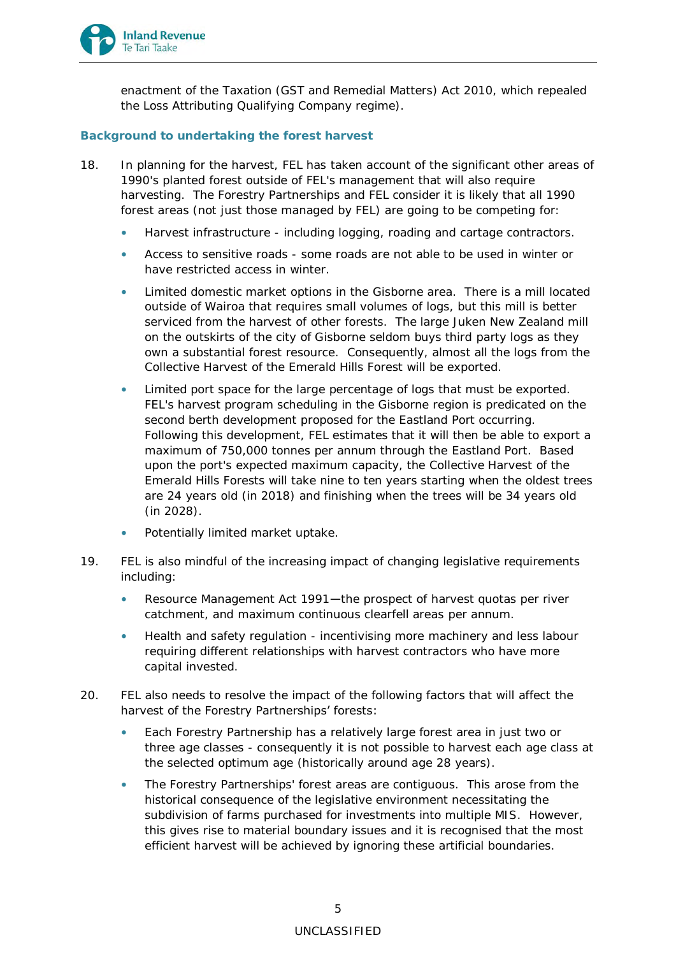

enactment of the Taxation (GST and Remedial Matters) Act 2010, which repealed the Loss Attributing Qualifying Company regime).

# <span id="page-4-0"></span>**Background to undertaking the forest harvest**

- 18. In planning for the harvest, FEL has taken account of the significant other areas of 1990's planted forest outside of FEL's management that will also require harvesting. The Forestry Partnerships and FEL consider it is likely that all 1990 forest areas (not just those managed by FEL) are going to be competing for:
	- Harvest infrastructure including logging, roading and cartage contractors.
	- Access to sensitive roads some roads are not able to be used in winter or have restricted access in winter.
	- Limited domestic market options in the Gisborne area. There is a mill located outside of Wairoa that requires small volumes of logs, but this mill is better serviced from the harvest of other forests. The large Juken New Zealand mill on the outskirts of the city of Gisborne seldom buys third party logs as they own a substantial forest resource. Consequently, almost all the logs from the Collective Harvest of the Emerald Hills Forest will be exported.
	- Limited port space for the large percentage of logs that must be exported. FEL's harvest program scheduling in the Gisborne region is predicated on the second berth development proposed for the Eastland Port occurring. Following this development, FEL estimates that it will then be able to export a maximum of 750,000 tonnes per annum through the Eastland Port. Based upon the port's expected maximum capacity, the Collective Harvest of the Emerald Hills Forests will take nine to ten years starting when the oldest trees are 24 years old (in 2018) and finishing when the trees will be 34 years old (in 2028).
	- Potentially limited market uptake.
- 19. FEL is also mindful of the increasing impact of changing legislative requirements including:
	- Resource Management Act 1991-the prospect of harvest quotas per river catchment, and maximum continuous clearfell areas per annum.
	- Health and safety regulation incentivising more machinery and less labour requiring different relationships with harvest contractors who have more capital invested.
- <span id="page-4-1"></span>20. FEL also needs to resolve the impact of the following factors that will affect the harvest of the Forestry Partnerships' forests:
	- Each Forestry Partnership has a relatively large forest area in just two or three age classes - consequently it is not possible to harvest each age class at the selected optimum age (historically around age 28 years).
	- The Forestry Partnerships' forest areas are contiguous. This arose from the historical consequence of the legislative environment necessitating the subdivision of farms purchased for investments into multiple MIS. However, this gives rise to material boundary issues and it is recognised that the most efficient harvest will be achieved by ignoring these artificial boundaries.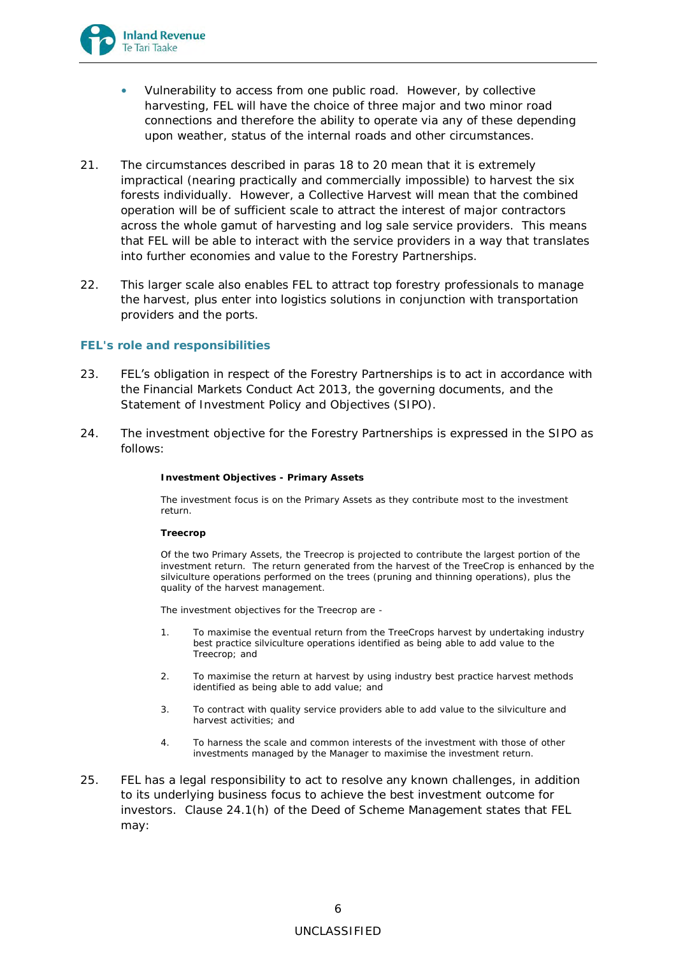

- Vulnerability to access from one public road. However, by collective harvesting, FEL will have the choice of three major and two minor road connections and therefore the ability to operate via any of these depending upon weather, status of the internal roads and other circumstances.
- 21. The circumstances described in paras [18](#page-4-0) to [20](#page-4-1) mean that it is extremely impractical (nearing practically and commercially impossible) to harvest the six forests individually. However, a Collective Harvest will mean that the combined operation will be of sufficient scale to attract the interest of major contractors across the whole gamut of harvesting and log sale service providers. This means that FEL will be able to interact with the service providers in a way that translates into further economies and value to the Forestry Partnerships.
- 22. This larger scale also enables FEL to attract top forestry professionals to manage the harvest, plus enter into logistics solutions in conjunction with transportation providers and the ports.

## **FEL's role and responsibilities**

- 23. FEL's obligation in respect of the Forestry Partnerships is to act in accordance with the Financial Markets Conduct Act 2013, the governing documents, and the Statement of Investment Policy and Objectives (SIPO).
- 24. The investment objective for the Forestry Partnerships is expressed in the SIPO as follows:

**Investment Objectives - Primary Assets**

The investment focus is on the Primary Assets as they contribute most to the investment return.

**Treecrop**

Of the two Primary Assets, the Treecrop is projected to contribute the largest portion of the investment return. The return generated from the harvest of the TreeCrop is enhanced by the silviculture operations performed on the trees (pruning and thinning operations), plus the quality of the harvest management.

The investment objectives for the Treecrop are -

- 1. To maximise the eventual return from the TreeCrops harvest by undertaking industry best practice silviculture operations identified as being able to add value to the Treecrop; and
- 2. To maximise the return at harvest by using industry best practice harvest methods identified as being able to add value; and
- 3. To contract with quality service providers able to add value to the silviculture and harvest activities; and
- 4. To harness the scale and common interests of the investment with those of other investments managed by the Manager to maximise the investment return.
- 25. FEL has a legal responsibility to act to resolve any known challenges, in addition to its underlying business focus to achieve the best investment outcome for investors. Clause 24.1(h) of the Deed of Scheme Management states that FEL may: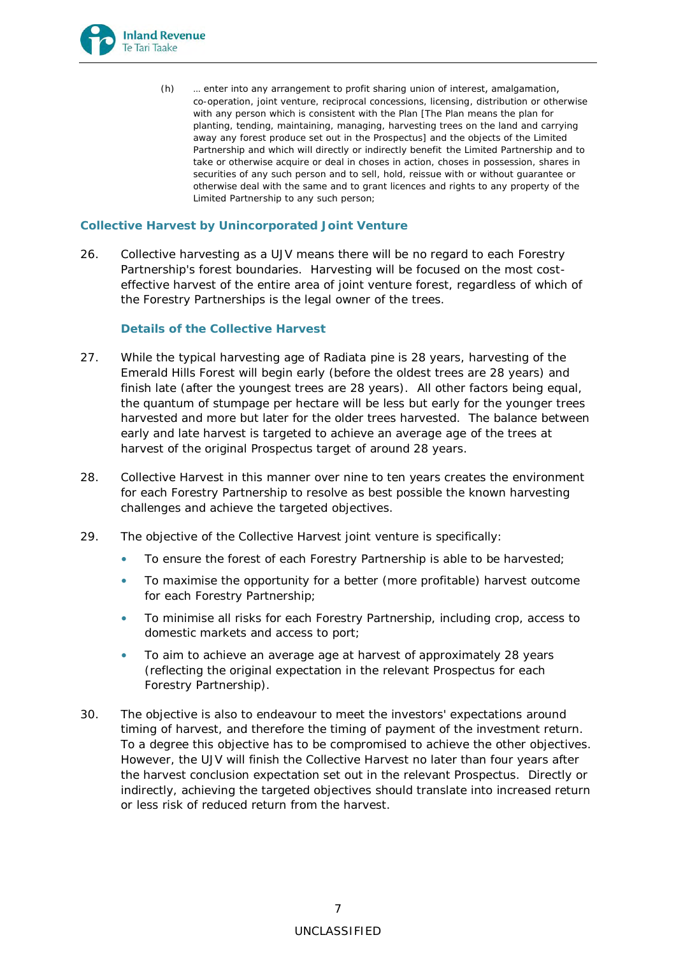

(h) … enter into any arrangement to profit sharing union of interest, amalgamation, co-operation, joint venture, reciprocal concessions, licensing, distribution or otherwise with any person which is consistent with the Plan [The Plan means the plan for planting, tending, maintaining, managing, harvesting trees on the land and carrying away any forest produce set out in the Prospectus] and the objects of the Limited Partnership and which will directly or indirectly benefit the Limited Partnership and to take or otherwise acquire or deal in choses in action, choses in possession, shares in securities of any such person and to sell, hold, reissue with or without guarantee or otherwise deal with the same and to grant licences and rights to any property of the Limited Partnership to any such person;

## **Collective Harvest by Unincorporated Joint Venture**

26. Collective harvesting as a UJV means there will be no regard to each Forestry Partnership's forest boundaries. Harvesting will be focused on the most costeffective harvest of the entire area of joint venture forest, regardless of which of the Forestry Partnerships is the legal owner of the trees.

# *Details of the Collective Harvest*

- 27. While the typical harvesting age of Radiata pine is 28 years, harvesting of the Emerald Hills Forest will begin early (before the oldest trees are 28 years) and finish late (after the youngest trees are 28 years). All other factors being equal, the quantum of stumpage per hectare will be less but early for the younger trees harvested and more but later for the older trees harvested. The balance between early and late harvest is targeted to achieve an average age of the trees at harvest of the original Prospectus target of around 28 years.
- 28. Collective Harvest in this manner over nine to ten years creates the environment for each Forestry Partnership to resolve as best possible the known harvesting challenges and achieve the targeted objectives.
- 29. The objective of the Collective Harvest joint venture is specifically:
	- To ensure the forest of each Forestry Partnership is able to be harvested;
	- To maximise the opportunity for a better (more profitable) harvest outcome for each Forestry Partnership;
	- To minimise all risks for each Forestry Partnership, including crop, access to domestic markets and access to port;
	- To aim to achieve an average age at harvest of approximately 28 years (reflecting the original expectation in the relevant Prospectus for each Forestry Partnership).
- 30. The objective is also to endeavour to meet the investors' expectations around timing of harvest, and therefore the timing of payment of the investment return. To a degree this objective has to be compromised to achieve the other objectives. However, the UJV will finish the Collective Harvest no later than four years after the harvest conclusion expectation set out in the relevant Prospectus. Directly or indirectly, achieving the targeted objectives should translate into increased return or less risk of reduced return from the harvest.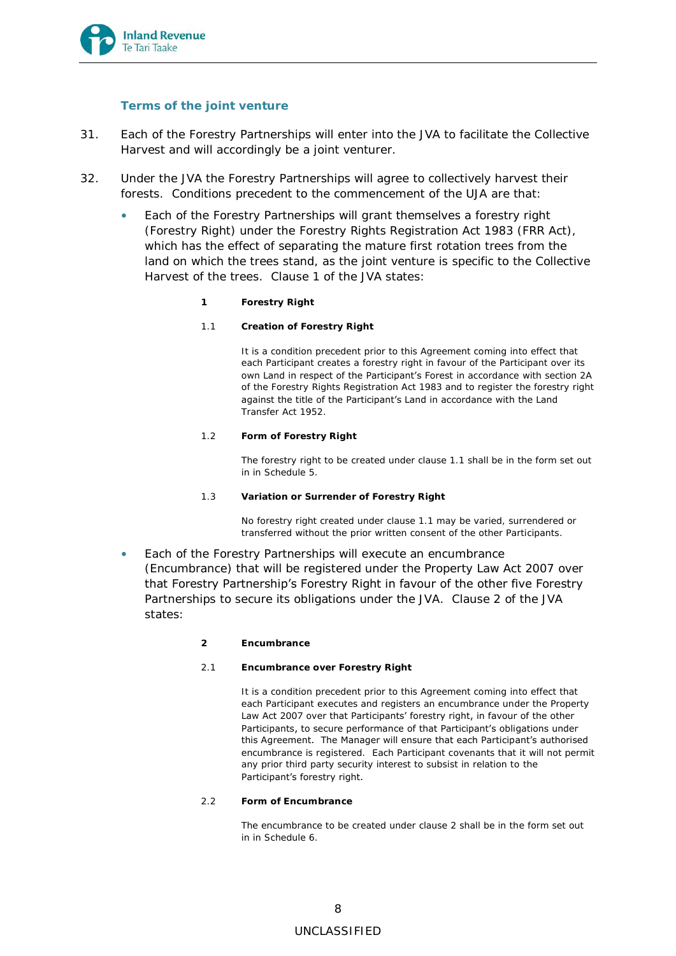

## *Terms of the joint venture*

- 31. Each of the Forestry Partnerships will enter into the JVA to facilitate the Collective Harvest and will accordingly be a joint venturer.
- 32. Under the JVA the Forestry Partnerships will agree to collectively harvest their forests. Conditions precedent to the commencement of the UJA are that:
	- Each of the Forestry Partnerships will grant themselves a forestry right (Forestry Right) under the Forestry Rights Registration Act 1983 (FRR Act), which has the effect of separating the mature first rotation trees from the land on which the trees stand, as the joint venture is specific to the Collective Harvest of the trees. Clause 1 of the JVA states:
		- **1 Forestry Right**
		- 1.1 **Creation of Forestry Right**

It is a condition precedent prior to this Agreement coming into effect that each Participant creates a forestry right in favour of the Participant over its own Land in respect of the Participant's Forest in accordance with section 2A of the Forestry Rights Registration Act 1983 and to register the forestry right against the title of the Participant's Land in accordance with the Land Transfer Act 1952.

1.2 **Form of Forestry Right**

The forestry right to be created under clause 1.1 shall be in the form set out in in Schedule 5.

1.3 **Variation or Surrender of Forestry Right**

No forestry right created under clause 1.1 may be varied, surrendered or transferred without the prior written consent of the other Participants.

- Each of the Forestry Partnerships will execute an encumbrance (Encumbrance) that will be registered under the Property Law Act 2007 over that Forestry Partnership's Forestry Right in favour of the other five Forestry Partnerships to secure its obligations under the JVA. Clause 2 of the JVA states:
	- **2 Encumbrance**
	- 2.1 **Encumbrance over Forestry Right**

It is a condition precedent prior to this Agreement coming into effect that each Participant executes and registers an encumbrance under the Property Law Act 2007 over that Participants' forestry right, in favour of the other Participants, to secure performance of that Participant's obligations under this Agreement. The Manager will ensure that each Participant's authorised encumbrance is registered. Each Participant covenants that it will not permit any prior third party security interest to subsist in relation to the Participant's forestry right.

2.2 **Form of Encumbrance**

The encumbrance to be created under clause 2 shall be in the form set out in in Schedule 6.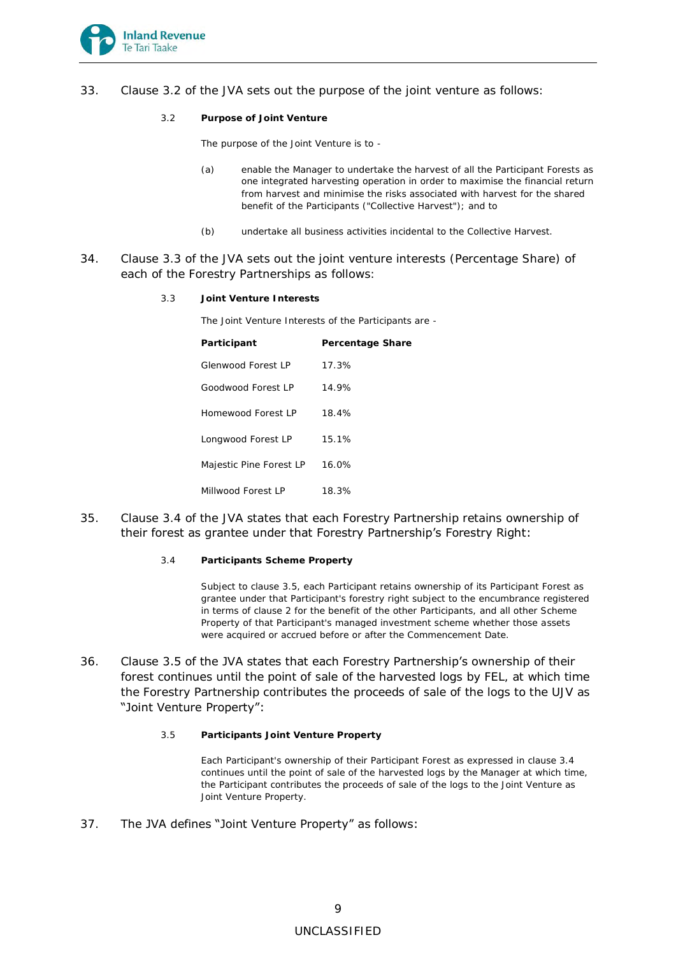

- 33. Clause 3.2 of the JVA sets out the purpose of the joint venture as follows:
	- 3.2 **Purpose of Joint Venture**

The purpose of the Joint Venture is to -

- (a) enable the Manager to undertake the harvest of all the Participant Forests as one integrated harvesting operation in order to maximise the financial return from harvest and minimise the risks associated with harvest for the shared benefit of the Participants ("Collective Harvest"); and to
- (b) undertake all business activities incidental to the Collective Harvest.
- 34. Clause 3.3 of the JVA sets out the joint venture interests (Percentage Share) of each of the Forestry Partnerships as follows:
	- 3.3 **Joint Venture Interests**

The Joint Venture Interests of the Participants are -

| Participant             | Percentage Share |
|-------------------------|------------------|
| Glenwood Forest LP      | 17.3%            |
| Goodwood Forest LP      | 14.9%            |
| Homewood Forest LP      | 18.4%            |
| Longwood Forest LP      | 15.1%            |
| Majestic Pine Forest LP | 16.0%            |
| Millwood Forest LP      | 18.3%            |

- 35. Clause 3.4 of the JVA states that each Forestry Partnership retains ownership of their forest as grantee under that Forestry Partnership's Forestry Right:
	- 3.4 **Participants Scheme Property**

Subject to clause 3.5, each Participant retains ownership of its Participant Forest as grantee under that Participant's forestry right subject to the encumbrance registered in terms of clause 2 for the benefit of the other Participants, and all other Scheme Property of that Participant's managed investment scheme whether those assets were acquired or accrued before or after the Commencement Date.

- 36. Clause 3.5 of the JVA states that each Forestry Partnership's ownership of their forest continues until the point of sale of the harvested logs by FEL, at which time the Forestry Partnership contributes the proceeds of sale of the logs to the UJV as "Joint Venture Property":
	- 3.5 **Participants Joint Venture Property**

Each Participant's ownership of their Participant Forest as expressed in clause 3.4 continues until the point of sale of the harvested logs by the Manager at which time, the Participant contributes the proceeds of sale of the logs to the Joint Venture as Joint Venture Property.

37. The JVA defines "Joint Venture Property" as follows: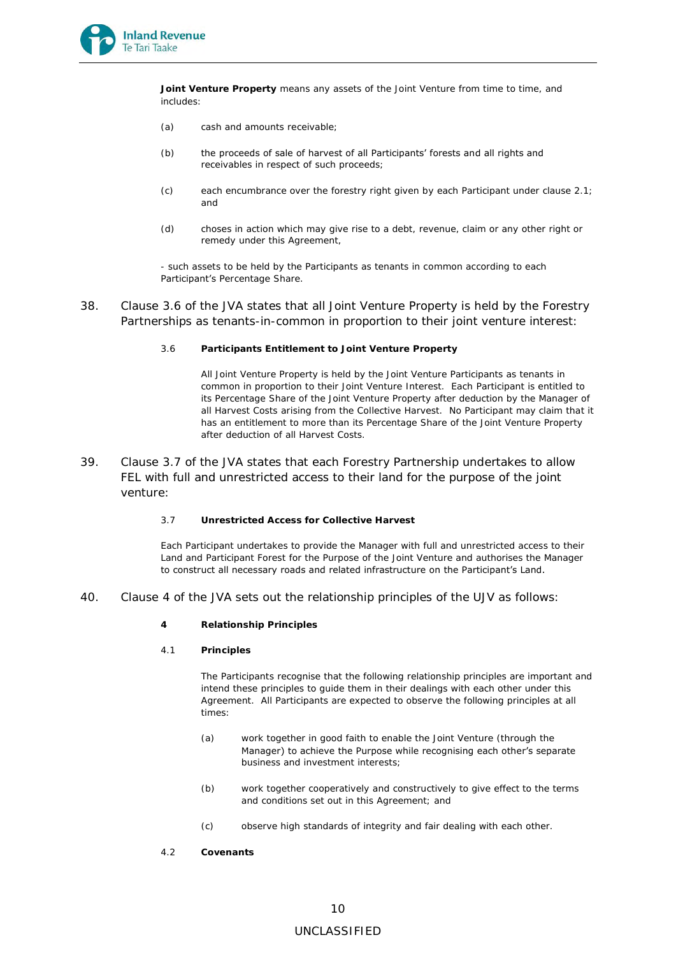

**Joint Venture Property** means any assets of the Joint Venture from time to time, and includes:

- (a) cash and amounts receivable;
- (b) the proceeds of sale of harvest of all Participants' forests and all rights and receivables in respect of such proceeds;
- (c) each encumbrance over the forestry right given by each Participant under clause 2.1; and
- (d) choses in action which may give rise to a debt, revenue, claim or any other right or remedy under this Agreement,

- such assets to be held by the Participants as tenants in common according to each Participant's Percentage Share.

- 38. Clause 3.6 of the JVA states that all Joint Venture Property is held by the Forestry Partnerships as tenants-in-common in proportion to their joint venture interest:
	- 3.6 **Participants Entitlement to Joint Venture Property**

All Joint Venture Property is held by the Joint Venture Participants as tenants in common in proportion to their Joint Venture Interest. Each Participant is entitled to its Percentage Share of the Joint Venture Property after deduction by the Manager of all Harvest Costs arising from the Collective Harvest. No Participant may claim that it has an entitlement to more than its Percentage Share of the Joint Venture Property after deduction of all Harvest Costs.

- 39. Clause 3.7 of the JVA states that each Forestry Partnership undertakes to allow FEL with full and unrestricted access to their land for the purpose of the joint venture:
	- 3.7 **Unrestricted Access for Collective Harvest**

Each Participant undertakes to provide the Manager with full and unrestricted access to their Land and Participant Forest for the Purpose of the Joint Venture and authorises the Manager to construct all necessary roads and related infrastructure on the Participant's Land.

- 40. Clause 4 of the JVA sets out the relationship principles of the UJV as follows:
	- **4 Relationship Principles**
	- 4.1 **Principles**

The Participants recognise that the following relationship principles are important and intend these principles to guide them in their dealings with each other under this Agreement. All Participants are expected to observe the following principles at all times:

- (a) work together in good faith to enable the Joint Venture (through the Manager) to achieve the Purpose while recognising each other's separate business and investment interests;
- (b) work together cooperatively and constructively to give effect to the terms and conditions set out in this Agreement; and
- (c) observe high standards of integrity and fair dealing with each other.
- 4.2 **Covenants**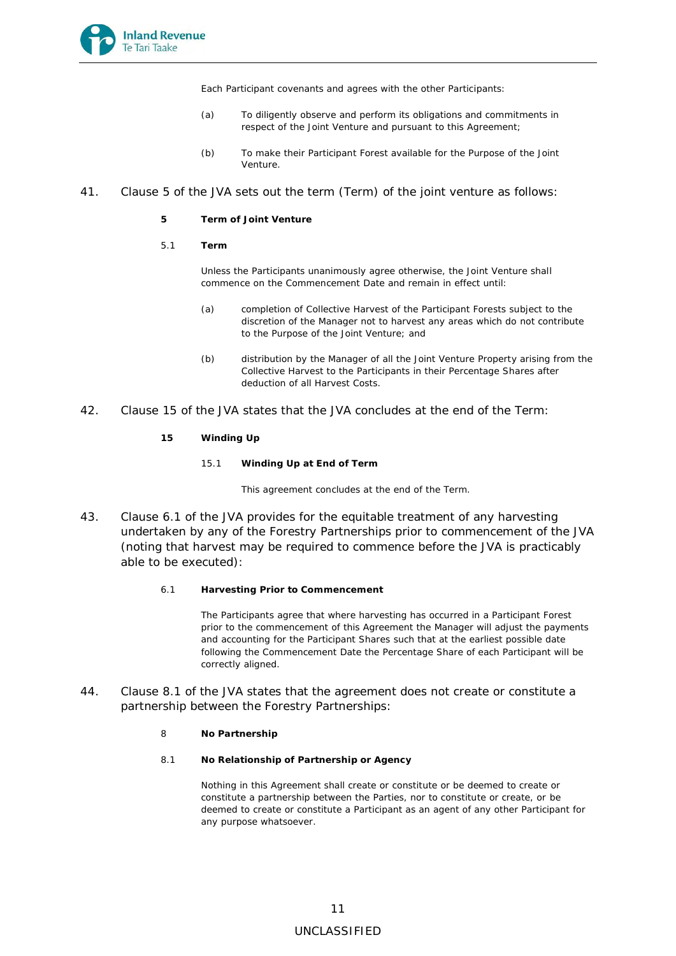

Each Participant covenants and agrees with the other Participants:

- (a) To diligently observe and perform its obligations and commitments in respect of the Joint Venture and pursuant to this Agreement;
- (b) To make their Participant Forest available for the Purpose of the Joint Venture.

### 41. Clause 5 of the JVA sets out the term (Term) of the joint venture as follows:

- **5 Term of Joint Venture**
- 5.1 **Term**

Unless the Participants unanimously agree otherwise, the Joint Venture shall commence on the Commencement Date and remain in effect until:

- (a) completion of Collective Harvest of the Participant Forests subject to the discretion of the Manager not to harvest any areas which do not contribute to the Purpose of the Joint Venture; and
- (b) distribution by the Manager of all the Joint Venture Property arising from the Collective Harvest to the Participants in their Percentage Shares after deduction of all Harvest Costs.
- 42. Clause 15 of the JVA states that the JVA concludes at the end of the Term:
	- **15 Winding Up** 
		- 15.1 **Winding Up at End of Term**

This agreement concludes at the end of the Term.

- 43. Clause 6.1 of the JVA provides for the equitable treatment of any harvesting undertaken by any of the Forestry Partnerships prior to commencement of the JVA (noting that harvest may be required to commence before the JVA is practicably able to be executed):
	- 6.1 **Harvesting Prior to Commencement**

The Participants agree that where harvesting has occurred in a Participant Forest prior to the commencement of this Agreement the Manager will adjust the payments and accounting for the Participant Shares such that at the earliest possible date following the Commencement Date the Percentage Share of each Participant will be correctly aligned.

- 44. Clause 8.1 of the JVA states that the agreement does not create or constitute a partnership between the Forestry Partnerships:
	- 8 **No Partnership**
	- 8.1 **No Relationship of Partnership or Agency**

Nothing in this Agreement shall create or constitute or be deemed to create or constitute a partnership between the Parties, nor to constitute or create, or be deemed to create or constitute a Participant as an agent of any other Participant for any purpose whatsoever.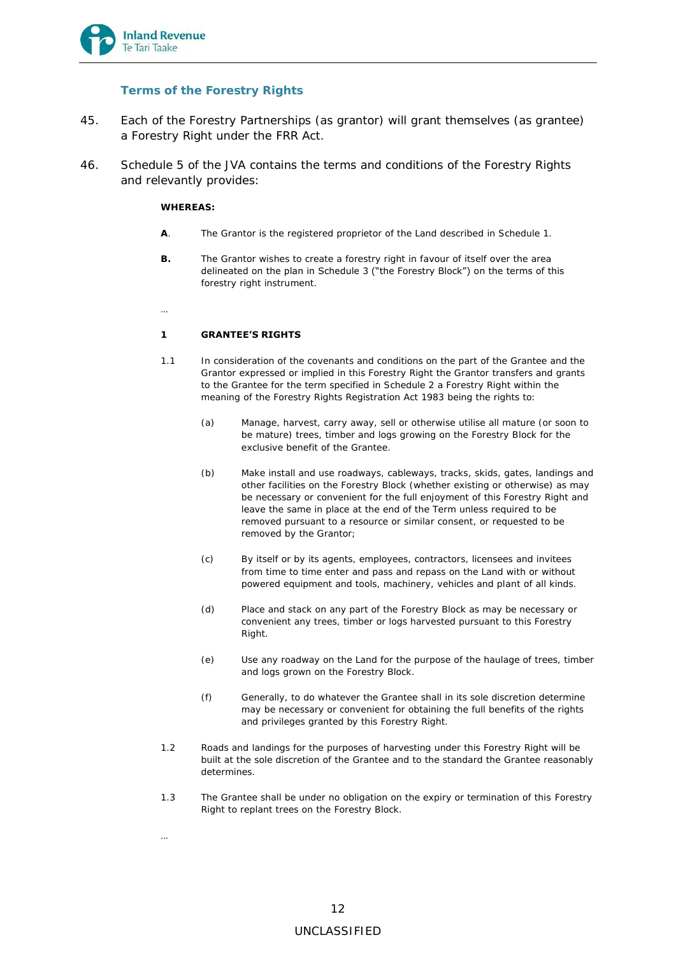

# *Terms of the Forestry Rights*

- 45. Each of the Forestry Partnerships (as grantor) will grant themselves (as grantee) a Forestry Right under the FRR Act.
- 46. Schedule 5 of the JVA contains the terms and conditions of the Forestry Rights and relevantly provides:

### **WHEREAS:**

- **A**. The Grantor is the registered proprietor of the Land described in Schedule 1.
- **B.** The Grantor wishes to create a forestry right in favour of itself over the area delineated on the plan in Schedule 3 ("the Forestry Block") on the terms of this forestry right instrument.
- …

…

## **1 GRANTEE'S RIGHTS**

- 1.1 In consideration of the covenants and conditions on the part of the Grantee and the Grantor expressed or implied in this Forestry Right the Grantor transfers and grants to the Grantee for the term specified in Schedule 2 a Forestry Right within the meaning of the Forestry Rights Registration Act 1983 being the rights to:
	- (a) Manage, harvest, carry away, sell or otherwise utilise all mature (or soon to be mature) trees, timber and logs growing on the Forestry Block for the exclusive benefit of the Grantee.
	- (b) Make install and use roadways, cableways, tracks, skids, gates, landings and other facilities on the Forestry Block (whether existing or otherwise) as may be necessary or convenient for the full enjoyment of this Forestry Right and leave the same in place at the end of the Term unless required to be removed pursuant to a resource or similar consent, or requested to be removed by the Grantor;
	- (c) By itself or by its agents, employees, contractors, licensees and invitees from time to time enter and pass and repass on the Land with or without powered equipment and tools, machinery, vehicles and plant of all kinds.
	- (d) Place and stack on any part of the Forestry Block as may be necessary or convenient any trees, timber or logs harvested pursuant to this Forestry Right.
	- (e) Use any roadway on the Land for the purpose of the haulage of trees, timber and logs grown on the Forestry Block.
	- (f) Generally, to do whatever the Grantee shall in its sole discretion determine may be necessary or convenient for obtaining the full benefits of the rights and privileges granted by this Forestry Right.
- 1.2 Roads and landings for the purposes of harvesting under this Forestry Right will be built at the sole discretion of the Grantee and to the standard the Grantee reasonably determines.
- 1.3 The Grantee shall be under no obligation on the expiry or termination of this Forestry Right to replant trees on the Forestry Block.
	- 12 UNCLASSIFIED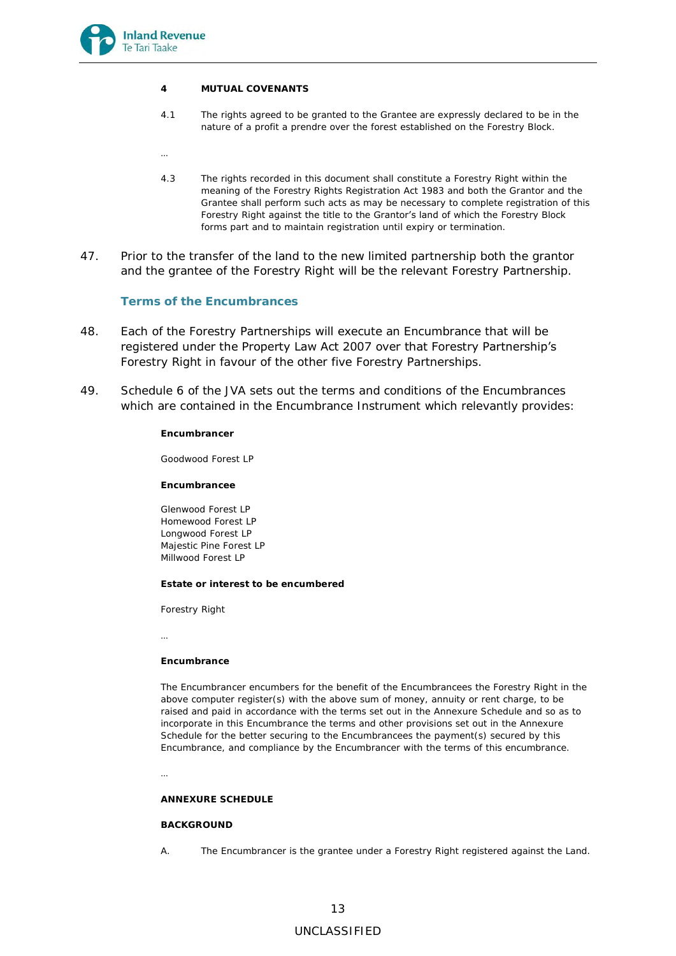

…

#### **4 MUTUAL COVENANTS**

- 4.1 The rights agreed to be granted to the Grantee are expressly declared to be in the nature of a profit a prendre over the forest established on the Forestry Block.
- 4.3 The rights recorded in this document shall constitute a Forestry Right within the meaning of the Forestry Rights Registration Act 1983 and both the Grantor and the Grantee shall perform such acts as may be necessary to complete registration of this Forestry Right against the title to the Grantor's land of which the Forestry Block forms part and to maintain registration until expiry or termination.
- 47. Prior to the transfer of the land to the new limited partnership both the grantor and the grantee of the Forestry Right will be the relevant Forestry Partnership.

## *Terms of the Encumbrances*

- 48. Each of the Forestry Partnerships will execute an Encumbrance that will be registered under the Property Law Act 2007 over that Forestry Partnership's Forestry Right in favour of the other five Forestry Partnerships.
- 49. Schedule 6 of the JVA sets out the terms and conditions of the Encumbrances which are contained in the Encumbrance Instrument which relevantly provides:

**Encumbrancer**

Goodwood Forest LP

**Encumbrancee** 

Glenwood Forest LP Homewood Forest LP Longwood Forest LP Majestic Pine Forest LP Millwood Forest LP

**Estate or interest to be encumbered** 

Forestry Right

…

#### **Encumbrance**

The Encumbrancer encumbers for the benefit of the Encumbrancees the Forestry Right in the above computer register(s) with the above sum of money, annuity or rent charge, to be raised and paid in accordance with the terms set out in the Annexure Schedule and so as to incorporate in this Encumbrance the terms and other provisions set out in the Annexure Schedule for the better securing to the Encumbrancees the payment(s) secured by this Encumbrance, and compliance by the Encumbrancer with the terms of this encumbrance.

…

#### **ANNEXURE SCHEDULE**

#### **BACKGROUND**

A. The Encumbrancer is the grantee under a Forestry Right registered against the Land.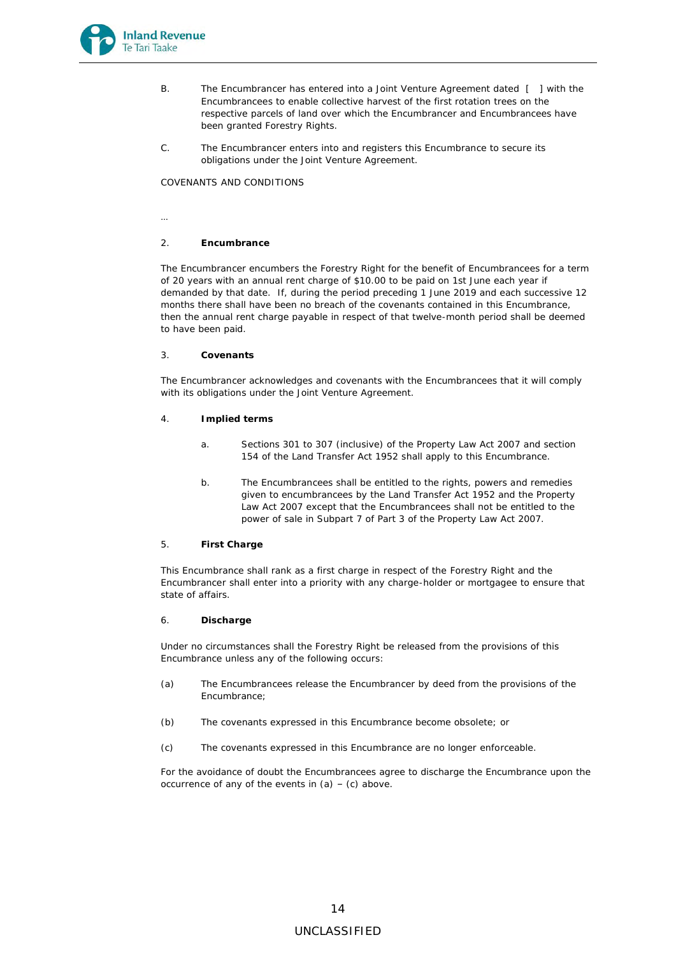

- B. The Encumbrancer has entered into a Joint Venture Agreement dated [ ] with the Encumbrancees to enable collective harvest of the first rotation trees on the respective parcels of land over which the Encumbrancer and Encumbrancees have been granted Forestry Rights.
- C. The Encumbrancer enters into and registers this Encumbrance to secure its obligations under the Joint Venture Agreement.

COVENANTS AND CONDITIONS

…

#### 2. **Encumbrance**

The Encumbrancer encumbers the Forestry Right for the benefit of Encumbrancees for a term of 20 years with an annual rent charge of \$10.00 to be paid on 1st June each year if demanded by that date. If, during the period preceding 1 June 2019 and each successive 12 months there shall have been no breach of the covenants contained in this Encumbrance, then the annual rent charge payable in respect of that twelve-month period shall be deemed to have been paid.

3. **Covenants**

The Encumbrancer acknowledges and covenants with the Encumbrancees that it will comply with its obligations under the Joint Venture Agreement.

- 4. **Implied terms**
	- a. Sections 301 to 307 (inclusive) of the Property Law Act 2007 and section 154 of the Land Transfer Act 1952 shall apply to this Encumbrance.
	- b. The Encumbrancees shall be entitled to the rights, powers and remedies given to encumbrancees by the Land Transfer Act 1952 and the Property Law Act 2007 except that the Encumbrancees shall not be entitled to the power of sale in Subpart 7 of Part 3 of the Property Law Act 2007.
- 5. **First Charge**

This Encumbrance shall rank as a first charge in respect of the Forestry Right and the Encumbrancer shall enter into a priority with any charge-holder or mortgagee to ensure that state of affairs.

6. **Discharge**

Under no circumstances shall the Forestry Right be released from the provisions of this Encumbrance unless any of the following occurs:

- (a) The Encumbrancees release the Encumbrancer by deed from the provisions of the Encumbrance;
- (b) The covenants expressed in this Encumbrance become obsolete; or
- (c) The covenants expressed in this Encumbrance are no longer enforceable.

For the avoidance of doubt the Encumbrancees agree to discharge the Encumbrance upon the occurrence of any of the events in  $(a) - (c)$  above.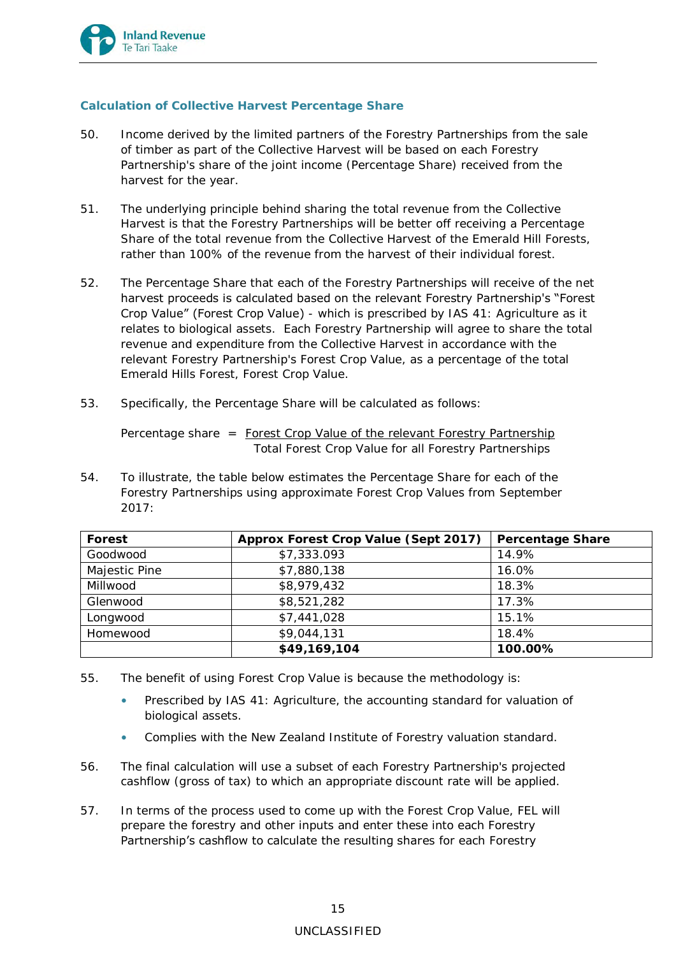

# **Calculation of Collective Harvest Percentage Share**

- 50. Income derived by the limited partners of the Forestry Partnerships from the sale of timber as part of the Collective Harvest will be based on each Forestry Partnership's share of the joint income (Percentage Share) received from the harvest for the year.
- 51. The underlying principle behind sharing the total revenue from the Collective Harvest is that the Forestry Partnerships will be better off receiving a Percentage Share of the total revenue from the Collective Harvest of the Emerald Hill Forests, rather than 100% of the revenue from the harvest of their individual forest.
- 52. The Percentage Share that each of the Forestry Partnerships will receive of the net harvest proceeds is calculated based on the relevant Forestry Partnership's "Forest Crop Value" (Forest Crop Value) - which is prescribed by *IAS 41: Agriculture* as it relates to biological assets. Each Forestry Partnership will agree to share the total revenue and expenditure from the Collective Harvest in accordance with the relevant Forestry Partnership's Forest Crop Value, as a percentage of the total Emerald Hills Forest, Forest Crop Value.
- 53. Specifically, the Percentage Share will be calculated as follows:

Percentage share = Forest Crop Value of the relevant Forestry Partnership Total Forest Crop Value for all Forestry Partnerships

54. To illustrate, the table below estimates the Percentage Share for each of the Forestry Partnerships using approximate Forest Crop Values from September  $2017$ 

| Forest        | Approx Forest Crop Value (Sept 2017) | Percentage Share |
|---------------|--------------------------------------|------------------|
| Goodwood      | \$7,333.093                          | 14.9%            |
| Majestic Pine | \$7,880,138                          | 16.0%            |
| Millwood      | \$8,979,432                          | 18.3%            |
| Glenwood      | \$8,521,282                          | 17.3%            |
| Longwood      | \$7,441,028                          | 15.1%            |
| Homewood      | \$9,044,131                          | 18.4%            |
|               | \$49,169,104                         | 100.00%          |

- 55. The benefit of using Forest Crop Value is because the methodology is:
	- Prescribed by *IAS 41: Agriculture*, the accounting standard for valuation of biological assets.
	- Complies with the New Zealand Institute of Forestry valuation standard.
- 56. The final calculation will use a subset of each Forestry Partnership's projected cashflow (gross of tax) to which an appropriate discount rate will be applied.
- 57. In terms of the process used to come up with the Forest Crop Value, FEL will prepare the forestry and other inputs and enter these into each Forestry Partnership's cashflow to calculate the resulting shares for each Forestry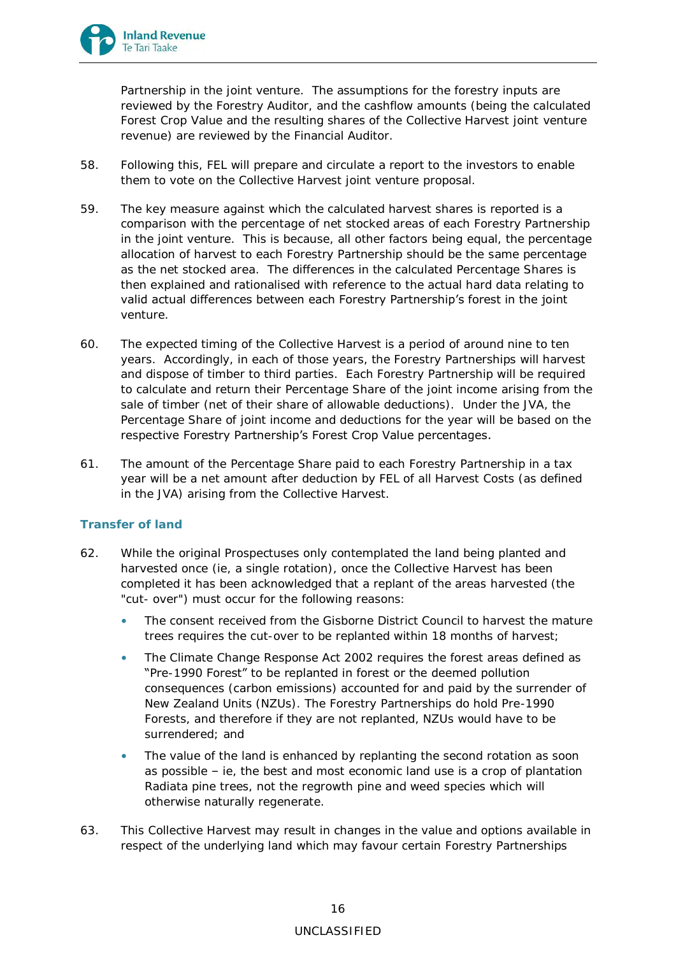

Partnership in the joint venture. The assumptions for the forestry inputs are reviewed by the Forestry Auditor, and the cashflow amounts (being the calculated Forest Crop Value and the resulting shares of the Collective Harvest joint venture revenue) are reviewed by the Financial Auditor.

- 58. Following this, FEL will prepare and circulate a report to the investors to enable them to vote on the Collective Harvest joint venture proposal.
- 59. The key measure against which the calculated harvest shares is reported is a comparison with the percentage of net stocked areas of each Forestry Partnership in the joint venture. This is because, all other factors being equal, the percentage allocation of harvest to each Forestry Partnership should be the same percentage as the net stocked area. The differences in the calculated Percentage Shares is then explained and rationalised with reference to the actual hard data relating to valid actual differences between each Forestry Partnership's forest in the joint venture.
- 60. The expected timing of the Collective Harvest is a period of around nine to ten years. Accordingly, in each of those years, the Forestry Partnerships will harvest and dispose of timber to third parties. Each Forestry Partnership will be required to calculate and return their Percentage Share of the joint income arising from the sale of timber (net of their share of allowable deductions). Under the JVA, the Percentage Share of joint income and deductions for the year will be based on the respective Forestry Partnership's Forest Crop Value percentages.
- 61. The amount of the Percentage Share paid to each Forestry Partnership in a tax year will be a net amount after deduction by FEL of all Harvest Costs (as defined in the JVA) arising from the Collective Harvest.

## **Transfer of land**

- 62. While the original Prospectuses only contemplated the land being planted and harvested once (ie, a single rotation), once the Collective Harvest has been completed it has been acknowledged that a replant of the areas harvested (the "cut- over") must occur for the following reasons:
	- The consent received from the Gisborne District Council to harvest the mature trees requires the cut-over to be replanted within 18 months of harvest;
	- The Climate Change Response Act 2002 requires the forest areas defined as "Pre-1990 Forest" to be replanted in forest or the deemed pollution consequences (carbon emissions) accounted for and paid by the surrender of New Zealand Units (NZUs). The Forestry Partnerships do hold Pre-1990 Forests, and therefore if they are not replanted, NZUs would have to be surrendered; and
	- The value of the land is enhanced by replanting the second rotation as soon as possible – ie, the best and most economic land use is a crop of plantation Radiata pine trees, not the regrowth pine and weed species which will otherwise naturally regenerate.
- 63. This Collective Harvest may result in changes in the value and options available in respect of the underlying land which may favour certain Forestry Partnerships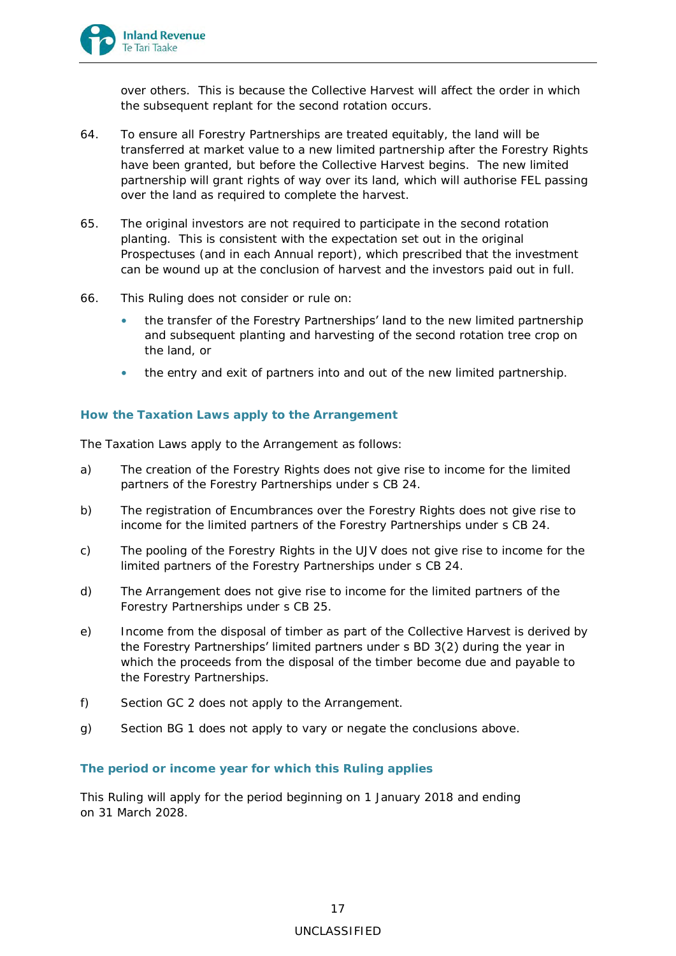

over others. This is because the Collective Harvest will affect the order in which the subsequent replant for the second rotation occurs.

- 64. To ensure all Forestry Partnerships are treated equitably, the land will be transferred at market value to a new limited partnership after the Forestry Rights have been granted, but before the Collective Harvest begins. The new limited partnership will grant rights of way over its land, which will authorise FEL passing over the land as required to complete the harvest.
- 65. The original investors are not required to participate in the second rotation planting. This is consistent with the expectation set out in the original Prospectuses (and in each Annual report), which prescribed that the investment can be wound up at the conclusion of harvest and the investors paid out in full.
- 66. This Ruling does not consider or rule on:
	- the transfer of the Forestry Partnerships' land to the new limited partnership and subsequent planting and harvesting of the second rotation tree crop on the land, or
	- the entry and exit of partners into and out of the new limited partnership.

# **How the Taxation Laws apply to the Arrangement**

The Taxation Laws apply to the Arrangement as follows:

- a) The creation of the Forestry Rights does not give rise to income for the limited partners of the Forestry Partnerships under s CB 24.
- b) The registration of Encumbrances over the Forestry Rights does not give rise to income for the limited partners of the Forestry Partnerships under s CB 24.
- c) The pooling of the Forestry Rights in the UJV does not give rise to income for the limited partners of the Forestry Partnerships under s CB 24.
- d) The Arrangement does not give rise to income for the limited partners of the Forestry Partnerships under s CB 25.
- e) Income from the disposal of timber as part of the Collective Harvest is derived by the Forestry Partnerships' limited partners under s BD 3(2) during the year in which the proceeds from the disposal of the timber become due and payable to the Forestry Partnerships.
- f) Section GC 2 does not apply to the Arrangement.
- g) Section BG 1 does not apply to vary or negate the conclusions above.

## **The period or income year for which this Ruling applies**

This Ruling will apply for the period beginning on 1 January 2018 and ending on 31 March 2028.